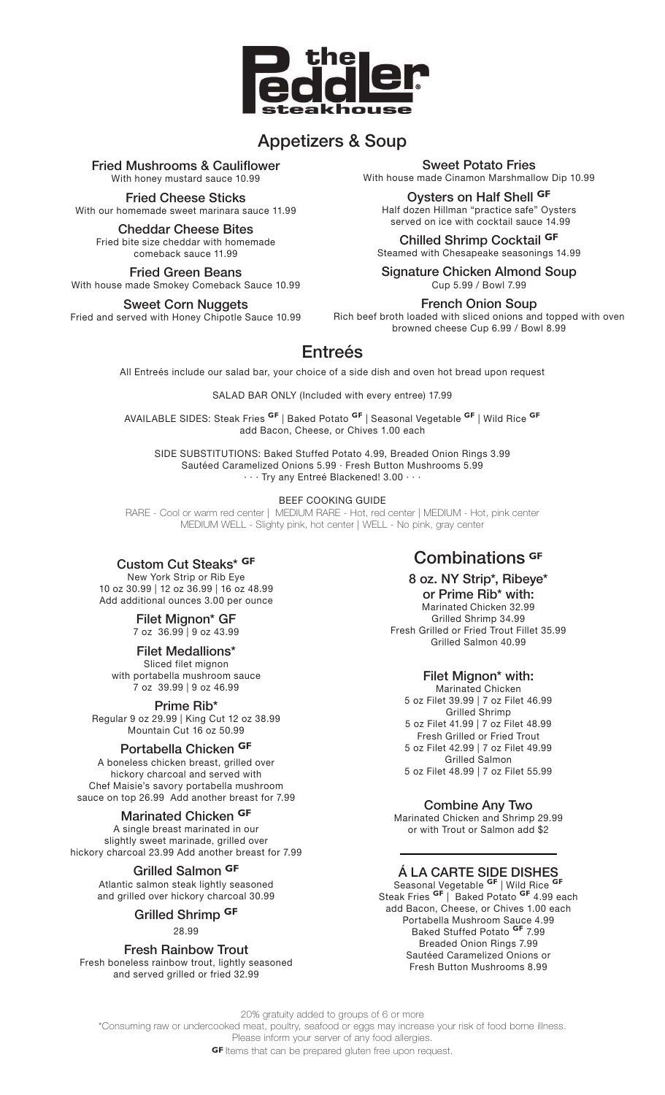

# **Appetizers & Soup**

**Fried Mushrooms & Cauliflower** With honey mustard sauce 10.99

**Fried Cheese Sticks** With our homemade sweet marinara sauce 11.99

**Cheddar Cheese Bites** Fried bite size cheddar with homemade comeback sauce 11.99

**Fried Green Beans** With house made Smokey Comeback Sauce 10.99

**Sweet Corn Nuggets** Fried and served with Honey Chipotle Sauce 10.99 **Sweet Potato Fries**

With house made Cinamon Marshmallow Dip 10.99

**Oysters on Half Shell GF** Half dozen Hillman "practice safe" Oysters served on ice with cocktail sauce 14.99

**Chilled Shrimp Cocktail GF** Steamed with Chesapeake seasonings 14.99

**Signature Chicken Almond Soup** Cup 5.99 / Bowl 7.99

**French Onion Soup**

Rich beef broth loaded with sliced onions and topped with oven browned cheese Cup 6.99 / Bowl 8.99

# **Entreés**

All Entreés include our salad bar, your choice of a side dish and oven hot bread upon request

SALAD BAR ONLY (Included with every entree) 17.99

AVAILABLE SIDES: Steak Fries **GF** | Baked Potato **GF** | Seasonal Vegetable **GF** | Wild Rice **GF** add Bacon, Cheese, or Chives 1.00 each

SIDE SUBSTITUTIONS: Baked Stuffed Potato 4.99, Breaded Onion Rings 3.99 Sautéed Caramelized Onions 5.99 · Fresh Button Mushrooms 5.99 · · · Try any Entreé Blackened! 3.00 · · ·

### BEEF COOKING GUIDE

RARE - Cool or warm red center | MEDIUM RARE - Hot, red center | MEDIUM - Hot, pink center MEDIUM WELL - Slighty pink, hot center | WELL - No pink, gray center

## **Custom Cut Steaks\* GF**

New York Strip or Rib Eye 10 oz 30.99 | 12 oz 36.99 | 16 oz 48.99 Add additional ounces 3.00 per ounce

#### **Filet Mignon\* GF** 7 oz 36.99 | 9 oz 43.99

**Filet Medallions\***

Sliced filet mignon with portabella mushroom sauce 7 oz 39.99 | 9 oz 46.99

**Prime Rib\***

Regular 9 oz 29.99 | King Cut 12 oz 38.99 Mountain Cut 16 oz 50.99

## **Portabella Chicken GF**

A boneless chicken breast, grilled over hickory charcoal and served with Chef Maisie's savory portabella mushroom sauce on top 26.99 Add another breast for 7.99

## **Marinated Chicken GF**

A single breast marinated in our slightly sweet marinade, grilled over hickory charcoal 23.99 Add another breast for 7.99

> **Grilled Salmon GF** Atlantic salmon steak lightly seasoned and grilled over hickory charcoal 30.99

**Grilled Shrimp GF**

28.99

**Fresh Rainbow Trout** Fresh boneless rainbow trout, lightly seasoned and served grilled or fried 32.99

# **Combinations GF**

**8 oz. NY Strip\*, Ribeye\* or Prime Rib\* with:** Marinated Chicken 32.99 Grilled Shrimp 34.99 Fresh Grilled or Fried Trout Fillet 35.99 Grilled Salmon 40.99

## **Filet Mignon\* with:**

Marinated Chicken 5 oz Filet 39.99 | 7 oz Filet 46.99 Grilled Shrimp 5 oz Filet 41.99 | 7 oz Filet 48.99 Fresh Grilled or Fried Trout 5 oz Filet 42.99 | 7 oz Filet 49.99 Grilled Salmon 5 oz Filet 48.99 | 7 oz Filet 55.99

**Combine Any Two**

Marinated Chicken and Shrimp 29.99 or with Trout or Salmon add \$2

# **Á LA CARTE SIDE DISHES**

Seasonal Vegetable **GF** | Wild Rice **GF** Steak Fries **GF** | Baked Potato **GF** 4.99 each add Bacon, Cheese, or Chives 1.00 each Portabella Mushroom Sauce 4.99 Baked Stuffed Potato **GF** 7.99 Breaded Onion Rings 7.99 Sautéed Caramelized Onions or Fresh Button Mushrooms 8.99

20% gratuity added to groups of 6 or more

\*Consuming raw or undercooked meat, poultry, seafood or eggs may increase your risk of food borne illness. Please inform your server of any food allergies.

**GF** Items that can be prepared gluten free upon request.